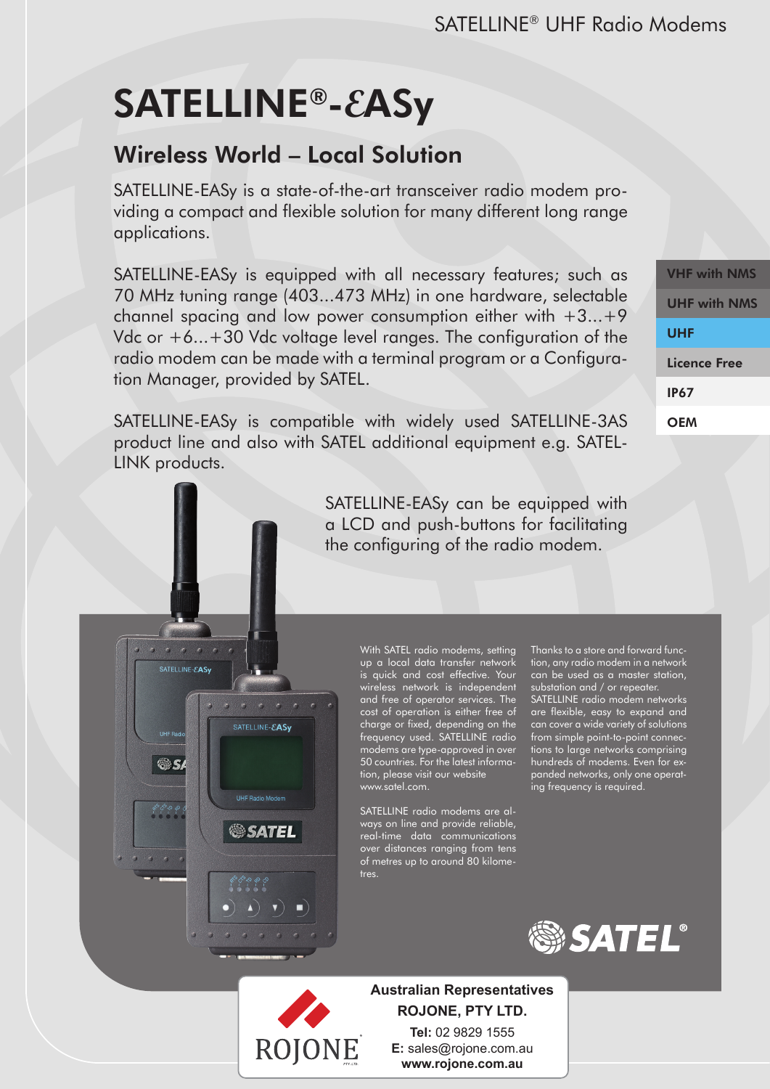# SATELLINE®-**E**ASy

 $\begin{array}{ccccccccc}\n\bullet & \bullet & \bullet & \bullet & \bullet & \bullet & \bullet\n\end{array}$ SATELLINE-EASy

**as** 

**Pro Color** 

 $\sigma$   $\sigma$   $\sigma$ 

SATELLINE-EASy

**SSATEL** 

 $\blacktriangle$  )  $\nabla$  )  $\blacksquare$ 

## Wireless World – Local Solution

SATELLINE-EASy is a state-of-the-art transceiver radio modem providing a compact and flexible solution for many different long range applications.

SATELLINE-EASy is equipped with all necessary features; such as 70 MHz tuning range (403...473 MHz) in one hardware, selectable channel spacing and low power consumption either with  $+3...+9$ Vdc or +6...+30 Vdc voltage level ranges. The configuration of the radio modem can be made with a terminal program or a Configuration Manager, provided by SATEL.

SATELLINE-EASy is compatible with widely used SATELLINE-3AS product line and also with SATEL additional equipment e.g. SATEL-LINK products.

> SATELLINE-EASy can be equipped with a LCD and push-buttons for facilitating the configuring of the radio modem.

> > With SATEL radio modems, setting up a local data transfer network is quick and cost effective. Your wireless network is independent and free of operator services. The cost of operation is either free of charge or fixed, depending on the frequency used. SATELLINE radio modems are type-approved in over 50 countries. For the latest information, please visit our website www.satel.com.

SATELLINE radio modems are always on line and provide reliable, real-time data communications over distances ranging from tens of metres up to around 80 kilometres.

Thanks to a store and forward function, any radio modem in a network can be used as a master station, substation and / or repeater. SATELLINE radio modem networks are flexible, easy to expand and can cover a wide variety of solutions from simple point-to-point connections to large networks comprising hundreds of modems. Even for expanded networks, only one operat-

ing frequency is required.





**Australian Representatives ROJONE, PTY LTD. Tel:** 02 9829 1555

**E:** sales@rojone.com.au **www.rojone.com.au**

VHF with NMS UHF with NMS UHF Licence Free IP67 **OEM**